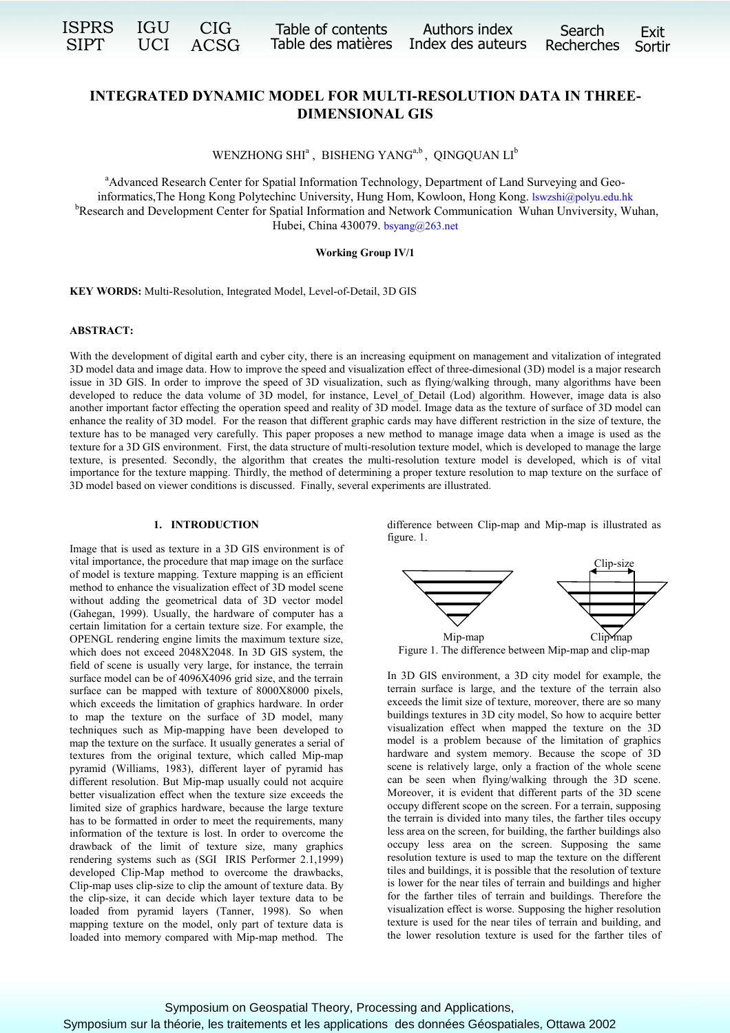| ISPRS       | IGU | <b>CIG</b> |
|-------------|-----|------------|
| <b>SIPT</b> | UCI | ACSG       |

Ġ

# **INTEGRATED DYNAMIC MODEL FOR MULTI-RESOLUTION DATA IN THREE-DIMENSIONAL GIS**

WENZHONG SHI<sup>a</sup>, BISHENG YANG<sup>a,b</sup>, QINGQUAN LI<sup>b</sup>

<sup>a</sup>Advanced Research Center for Spatial Information Technology, Department of Land Surveying and Geoinformatics,The Hong Kong Polytechinc University, Hung Hom, Kowloon, Hong Kong. [lswzshi@polyu.edu.hk](mailto:lswzshi@polyu.edu.hk) <sup>b</sup>Research and Development Center for Spatial Information and Network Communication Wuhan Unviversity, Wuhan, Hubei, China 430079. [bsyang@263.net](mailto:bsyang@263.net)

## **Working Group IV/1**

**KEY WORDS:** Multi-Resolution, Integrated Model, Level-of-Detail, 3D GIS

#### **ABSTRACT:**

With the development of digital earth and cyber city, there is an increasing equipment on management and vitalization of integrated 3D model data and image data. How to improve the speed and visualization effect of three-dimesional (3D) model is a major research issue in 3D GIS. In order to improve the speed of 3D visualization, such as flying/walking through, many algorithms have been developed to reduce the data volume of 3D model, for instance, Level\_of\_Detail (Lod) algorithm. However, image data is also another important factor effecting the operation speed and reality of 3D model. Image data as the texture of surface of 3D model can enhance the reality of 3D model. For the reason that different graphic cards may have different restriction in the size of texture, the texture has to be managed very carefully. This paper proposes a new method to manage image data when a image is used as the texture for a 3D GIS environment. First, the data structure of multi-resolution texture model, which is developed to manage the large texture, is presented. Secondly, the algorithm that creates the multi-resolution texture model is developed, which is of vital importance for the texture mapping. Thirdly, the method of determining a proper texture resolution to map texture on the surface of 3D model based on viewer conditions is discussed. Finally, several experiments are illustrated.

#### **1. INTRODUCTION**

Image that is used as texture in a 3D GIS environment is of vital importance, the procedure that map image on the surface of model is texture mapping. Texture mapping is an efficient method to enhance the visualization effect of 3D model scene without adding the geometrical data of 3D vector model (Gahegan, 1999). Usually, the hardware of computer has a certain limitation for a certain texture size. For example, the OPENGL rendering engine limits the maximum texture size, which does not exceed 2048X2048. In 3D GIS system, the field of scene is usually very large, for instance, the terrain surface model can be of 4096X4096 grid size, and the terrain surface can be mapped with texture of 8000X8000 pixels, which exceeds the limitation of graphics hardware. In order to map the texture on the surface of 3D model, many techniques such as Mip-mapping have been developed to map the texture on the surface. It usually generates a serial of textures from the original texture, which called Mip-map pyramid (Williams, 1983), different layer of pyramid has different resolution. But Mip-map usually could not acquire better visualization effect when the texture size exceeds the limited size of graphics hardware, because the large texture has to be formatted in order to meet the requirements, many information of the texture is lost. In order to overcome the drawback of the limit of texture size, many graphics rendering systems such as (SGI IRIS Performer 2.1,1999) developed Clip-Map method to overcome the drawbacks, Clip-map uses clip-size to clip the amount of texture data. By the clip-size, it can decide which layer texture data to be loaded from pyramid layers (Tanner, 1998). So when mapping texture on the model, only part of texture data is loaded into memory compared with Mip-map method. The difference between Clip-map and Mip-map is illustrated as figure. 1.



Figure 1. The difference between Mip-map and clip-map

In 3D GIS environment, a 3D city model for example, the terrain surface is large, and the texture of the terrain also exceeds the limit size of texture, moreover, there are so many buildings textures in 3D city model, So how to acquire better visualization effect when mapped the texture on the 3D model is a problem because of the limitation of graphics hardware and system memory. Because the scope of 3D scene is relatively large, only a fraction of the whole scene can be seen when flying/walking through the 3D scene. Moreover, it is evident that different parts of the 3D scene occupy different scope on the screen. For a terrain, supposing the terrain is divided into many tiles, the farther tiles occupy less area on the screen, for building, the farther buildings also occupy less area on the screen. Supposing the same resolution texture is used to map the texture on the different tiles and buildings, it is possible that the resolution of texture is lower for the near tiles of terrain and buildings and higher for the farther tiles of terrain and buildings. Therefore the visualization effect is worse. Supposing the higher resolution texture is used for the near tiles of terrain and building, and the lower resolution texture is used for the farther tiles of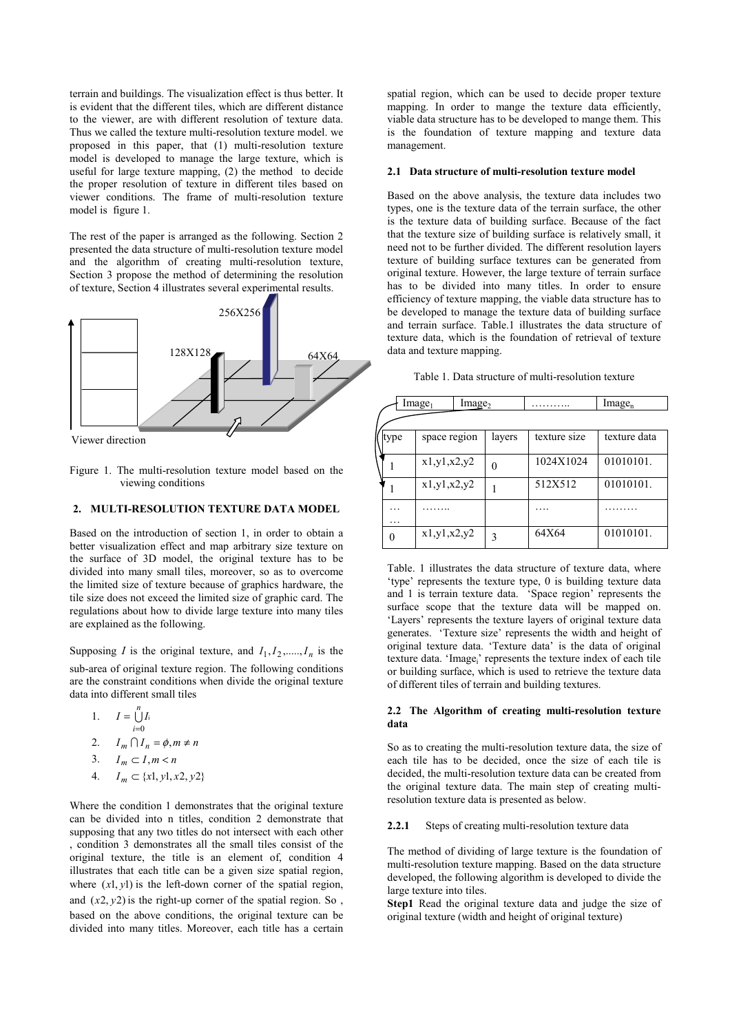terrain and buildings. The visualization effect is thus better. It is evident that the different tiles, which are different distance to the viewer, are with different resolution of texture data. Thus we called the texture multi-resolution texture model. we proposed in this paper, that (1) multi-resolution texture model is developed to manage the large texture, which is useful for large texture mapping, (2) the method to decide the proper resolution of texture in different tiles based on viewer conditions. The frame of multi-resolution texture model is figure 1.

The rest of the paper is arranged as the following. Section 2 presented the data structure of multi-resolution texture model and the algorithm of creating multi-resolution texture, Section 3 propose the method of determining the resolution of texture, Section 4 illustrates several experimental results.



Viewer direction

Figure 1. The multi-resolution texture model based on the viewing conditions

# **2. MULTI-RESOLUTION TEXTURE DATA MODEL**

Based on the introduction of section 1, in order to obtain a better visualization effect and map arbitrary size texture on the surface of 3D model, the original texture has to be divided into many small tiles, moreover, so as to overcome the limited size of texture because of graphics hardware, the tile size does not exceed the limited size of graphic card. The regulations about how to divide large texture into many tiles are explained as the following.

Supposing *I* is the original texture, and  $I_1, I_2, \ldots, I_n$  is the sub-area of original texture region. The following conditions are the constraint conditions when divide the original texture data into different small tiles

1.  $I = \bigcup_{i=1}^{n}$ *i*  $I = \bigcup I$  $\bigcup_{i=0} I_i$ = 2.  $I_m \cap I_n = \phi, m \neq n$ 3.  $I_m \subset I, m < n$ 

4. 
$$
I_m \subset \{x1, y1, x2, y2\}
$$

Where the condition 1 demonstrates that the original texture can be divided into n titles, condition 2 demonstrate that supposing that any two titles do not intersect with each other , condition 3 demonstrates all the small tiles consist of the original texture, the title is an element of, condition 4 illustrates that each title can be a given size spatial region, where  $(x1, y1)$  is the left-down corner of the spatial region, and  $(x2, y2)$  is the right-up corner of the spatial region. So, based on the above conditions, the original texture can be divided into many titles. Moreover, each title has a certain spatial region, which can be used to decide proper texture mapping. In order to mange the texture data efficiently, viable data structure has to be developed to mange them. This is the foundation of texture mapping and texture data management.

#### **2.1 Data structure of multi-resolution texture model**

Based on the above analysis, the texture data includes two types, one is the texture data of the terrain surface, the other is the texture data of building surface. Because of the fact that the texture size of building surface is relatively small, it need not to be further divided. The different resolution layers texture of building surface textures can be generated from original texture. However, the large texture of terrain surface has to be divided into many titles. In order to ensure efficiency of texture mapping, the viable data structure has to be developed to manage the texture data of building surface and terrain surface. Table.1 illustrates the data structure of texture data, which is the foundation of retrieval of texture data and texture mapping.

| Table 1. Data structure of multi-resolution texture |  |
|-----------------------------------------------------|--|
|-----------------------------------------------------|--|

| Image <sub>1</sub><br>Image <sub>2</sub> |                |        | .            | Image <sub>n</sub> |
|------------------------------------------|----------------|--------|--------------|--------------------|
|                                          |                |        |              |                    |
| type                                     | space region   | layers | texture size | texture data       |
|                                          | x1, y1, x2, y2 |        | 1024X1024    | 01010101.          |
|                                          | x1, y1, x2, y2 |        | 512X512      | 01010101.          |
| .                                        |                |        |              |                    |
| 0                                        | x1, y1, x2, y2 | 3      | 64X64        | 01010101.          |

Table. 1 illustrates the data structure of texture data, where 'type' represents the texture type, 0 is building texture data and 1 is terrain texture data. 'Space region' represents the surface scope that the texture data will be mapped on. 'Layers' represents the texture layers of original texture data generates. 'Texture size' represents the width and height of original texture data. 'Texture data' is the data of original texture data. 'Image<sub>i</sub>' represents the texture index of each tile or building surface, which is used to retrieve the texture data of different tiles of terrain and building textures.

#### **2.2 The Algorithm of creating multi-resolution texture data**

So as to creating the multi-resolution texture data, the size of each tile has to be decided, once the size of each tile is decided, the multi-resolution texture data can be created from the original texture data. The main step of creating multiresolution texture data is presented as below.

#### 2.2.1 Steps of creating multi-resolution texture data

The method of dividing of large texture is the foundation of multi-resolution texture mapping. Based on the data structure developed, the following algorithm is developed to divide the large texture into tiles.

**Step1** Read the original texture data and judge the size of original texture (width and height of original texture)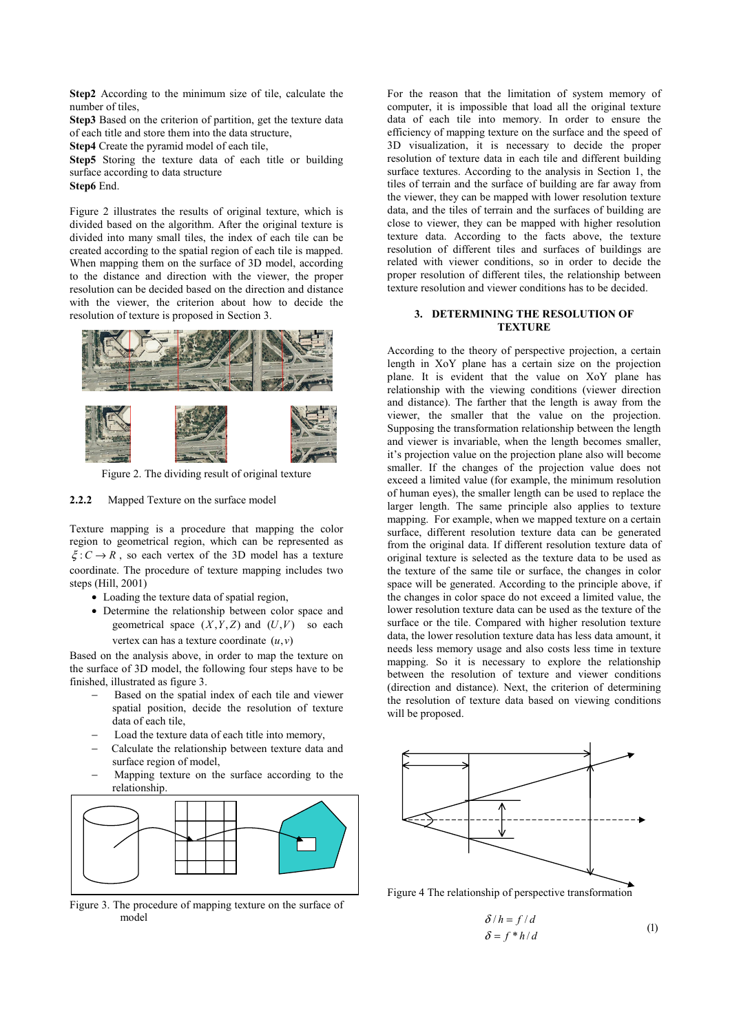**Step2** According to the minimum size of tile, calculate the number of tiles,

**Step3** Based on the criterion of partition, get the texture data of each title and store them into the data structure,

**Step4** Create the pyramid model of each tile,

**Step5** Storing the texture data of each title or building surface according to data structure **Step6** End.

Figure 2 illustrates the results of original texture, which is divided based on the algorithm. After the original texture is divided into many small tiles, the index of each tile can be created according to the spatial region of each tile is mapped. When mapping them on the surface of 3D model, according to the distance and direction with the viewer, the proper resolution can be decided based on the direction and distance with the viewer, the criterion about how to decide the resolution of texture is proposed in Section 3.





Figure 2. The dividing result of original texture

#### **2.2.2** Mapped Texture on the surface model

Texture mapping is a procedure that mapping the color region to geometrical region, which can be represented as  $\xi: C \to R$ , so each vertex of the 3D model has a texture coordinate. The procedure of texture mapping includes two steps (Hill, 2001)

- Loading the texture data of spatial region,
- Determine the relationship between color space and geometrical space  $(X, Y, Z)$  and  $(U, V)$  so each vertex can has a texture coordinate (*u*,*v*)

Based on the analysis above, in order to map the texture on the surface of 3D model, the following four steps have to be finished, illustrated as figure 3.

- Based on the spatial index of each tile and viewer spatial position, decide the resolution of texture data of each tile,
- Load the texture data of each title into memory,
- − Calculate the relationship between texture data and surface region of model,
- Mapping texture on the surface according to the relationship.



Figure 3. The procedure of mapping texture on the surface of model

For the reason that the limitation of system memory of computer, it is impossible that load all the original texture data of each tile into memory. In order to ensure the efficiency of mapping texture on the surface and the speed of 3D visualization, it is necessary to decide the proper resolution of texture data in each tile and different building surface textures. According to the analysis in Section 1, the tiles of terrain and the surface of building are far away from the viewer, they can be mapped with lower resolution texture data, and the tiles of terrain and the surfaces of building are close to viewer, they can be mapped with higher resolution texture data. According to the facts above, the texture resolution of different tiles and surfaces of buildings are related with viewer conditions, so in order to decide the proper resolution of different tiles, the relationship between texture resolution and viewer conditions has to be decided.

## **3. DETERMINING THE RESOLUTION OF TEXTURE**

According to the theory of perspective projection, a certain length in XoY plane has a certain size on the projection plane. It is evident that the value on XoY plane has relationship with the viewing conditions (viewer direction and distance). The farther that the length is away from the viewer, the smaller that the value on the projection. Supposing the transformation relationship between the length and viewer is invariable, when the length becomes smaller, it's projection value on the projection plane also will become smaller. If the changes of the projection value does not exceed a limited value (for example, the minimum resolution of human eyes), the smaller length can be used to replace the larger length. The same principle also applies to texture mapping. For example, when we mapped texture on a certain surface, different resolution texture data can be generated from the original data. If different resolution texture data of original texture is selected as the texture data to be used as the texture of the same tile or surface, the changes in color space will be generated. According to the principle above, if the changes in color space do not exceed a limited value, the lower resolution texture data can be used as the texture of the surface or the tile. Compared with higher resolution texture data, the lower resolution texture data has less data amount, it needs less memory usage and also costs less time in texture mapping. So it is necessary to explore the relationship between the resolution of texture and viewer conditions (direction and distance). Next, the criterion of determining the resolution of texture data based on viewing conditions will be proposed.



Figure 4 The relationship of perspective transformation

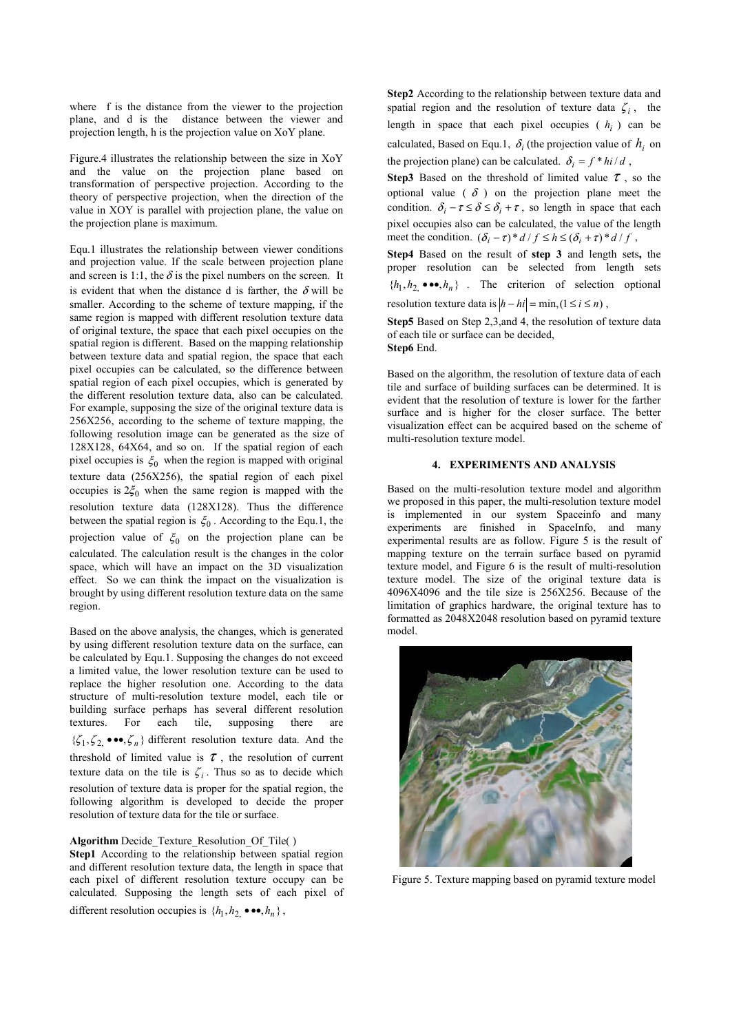where f is the distance from the viewer to the projection plane, and d is the distance between the viewer and projection length, h is the projection value on XoY plane.

Figure.4 illustrates the relationship between the size in XoY and the value on the projection plane based on transformation of perspective projection. According to the theory of perspective projection, when the direction of the value in XOY is parallel with projection plane, the value on the projection plane is maximum.

Equ.1 illustrates the relationship between viewer conditions and projection value. If the scale between projection plane and screen is 1:1, the  $\delta$  is the pixel numbers on the screen. It is evident that when the distance d is farther, the  $\delta$  will be smaller. According to the scheme of texture mapping, if the same region is mapped with different resolution texture data of original texture, the space that each pixel occupies on the spatial region is different. Based on the mapping relationship between texture data and spatial region, the space that each pixel occupies can be calculated, so the difference between spatial region of each pixel occupies, which is generated by the different resolution texture data, also can be calculated. For example, supposing the size of the original texture data is 256X256, according to the scheme of texture mapping, the following resolution image can be generated as the size of 128X128, 64X64, and so on. If the spatial region of each pixel occupies is  $\xi_0$  when the region is mapped with original texture data (256X256), the spatial region of each pixel occupies is  $2\xi_0$  when the same region is mapped with the resolution texture data (128X128). Thus the difference between the spatial region is  $\xi_0$ . According to the Equ.1, the projection value of  $\xi_0$  on the projection plane can be calculated. The calculation result is the changes in the color space, which will have an impact on the 3D visualization effect. So we can think the impact on the visualization is brought by using different resolution texture data on the same region.

Based on the above analysis, the changes, which is generated by using different resolution texture data on the surface, can be calculated by Equ.1. Supposing the changes do not exceed a limited value, the lower resolution texture can be used to replace the higher resolution one. According to the data structure of multi-resolution texture model, each tile or building surface perhaps has several different resolution textures. For each tile, supposing there are  $\{\zeta_1, \zeta_2 \bullet \bullet \bullet, \zeta_n\}$  different resolution texture data. And the threshold of limited value is  $\tau$ , the resolution of current texture data on the tile is  $\zeta_i$ . Thus so as to decide which resolution of texture data is proper for the spatial region, the following algorithm is developed to decide the proper resolution of texture data for the tile or surface.

## **Algorithm** Decide\_Texture\_Resolution\_Of\_Tile( )

**Step1** According to the relationship between spatial region and different resolution texture data, the length in space that each pixel of different resolution texture occupy can be calculated. Supposing the length sets of each pixel of different resolution occupies is  $\{h_1, h_2, \bullet \bullet \bullet, h_n\}$ ,

**Step2** According to the relationship between texture data and spatial region and the resolution of texture data  $\zeta_i$ , the length in space that each pixel occupies  $(h<sub>i</sub>)$  can be calculated, Based on Equ.1,  $\delta_i$  (the projection value of  $h_i$  on

the projection plane) can be calculated.  $\delta_i = f * h / d$ ,

**Step3** Based on the threshold of limited value  $\tau$ , so the optional value ( $\delta$ ) on the projection plane meet the condition.  $\delta_i - \tau \leq \delta \leq \delta_i + \tau$ , so length in space that each pixel occupies also can be calculated, the value of the length meet the condition.  $(\delta_i - \tau)^* d / f \leq h \leq (\delta_i + \tau)^* d / f$ ,

**Step4** Based on the result of **step 3** and length sets**,** the proper resolution can be selected from length sets  ${h_1, h_2 \bullet \bullet \bullet, h_n}$  . The criterion of selection optional resolution texture data is  $|h - hi| = \min_{i} (1 \le i \le n)$ ,

**Step5** Based on Step 2,3,and 4, the resolution of texture data of each tile or surface can be decided,

**Step6** End.

Based on the algorithm, the resolution of texture data of each tile and surface of building surfaces can be determined. It is evident that the resolution of texture is lower for the farther surface and is higher for the closer surface. The better visualization effect can be acquired based on the scheme of multi-resolution texture model.

## **4. EXPERIMENTS AND ANALYSIS**

Based on the multi-resolution texture model and algorithm we proposed in this paper, the multi-resolution texture model is implemented in our system Spaceinfo and many experiments are finished in SpaceInfo, and many experimental results are as follow. Figure 5 is the result of mapping texture on the terrain surface based on pyramid texture model, and Figure 6 is the result of multi-resolution texture model. The size of the original texture data is 4096X4096 and the tile size is 256X256. Because of the limitation of graphics hardware, the original texture has to formatted as 2048X2048 resolution based on pyramid texture model.



Figure 5. Texture mapping based on pyramid texture model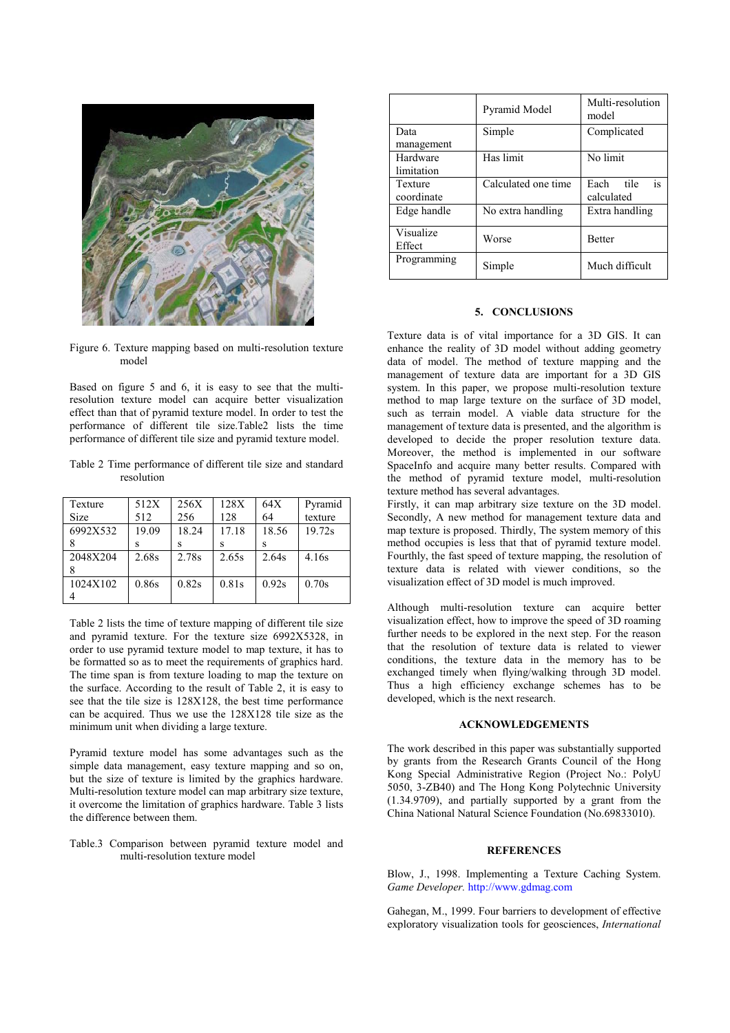<span id="page-4-0"></span>

Figure 6. Texture mapping based on multi-resolution texture model

Based on figure 5 and 6, it is easy to see that the multiresolution texture model can acquire better visualization effect than that of pyramid texture model. In order to test the performance of different tile size.Table2 lists the time performance of different tile size and pyramid texture model.

Table 2 Time performance of different tile size and standard resolution

| Texture     | 512X  | 256X  | 128X  | 64X   | Pyramid |
|-------------|-------|-------|-------|-------|---------|
| <b>Size</b> | 512   | 256   | 128   | 64    | texture |
| 6992X532    | 19.09 | 18.24 | 17.18 | 18.56 | 19.72s  |
|             |       | s     |       |       |         |
| 2048X204    | 2.68s | 2.78s | 2.65s | 2.64s | 4.16s   |
|             |       |       |       |       |         |
| 1024X102    | 0.86s | 0.82s | 0.81s | 0.92s | 0.70s   |
|             |       |       |       |       |         |

Table 2 lists the time of texture mapping of different tile size and pyramid texture. For the texture size 6992X5328, in order to use pyramid texture model to map texture, it has to be formatted so as to meet the requirements of graphics hard. The time span is from texture loading to map the texture on the surface. According to the result of Table 2, it is easy to see that the tile size is 128X128, the best time performance can be acquired. Thus we use the 128X128 tile size as the minimum unit when dividing a large texture.

Pyramid texture model has some advantages such as the simple data management, easy texture mapping and so on, but the size of texture is limited by the graphics hardware. Multi-resolution texture model can map arbitrary size texture, it overcome the limitation of graphics hardware. Table 3 lists the difference between them.

Table.3 Comparison between pyramid texture model and multi-resolution texture model

|             | Pyramid Model       | Multi-resolution<br>model |  |
|-------------|---------------------|---------------------------|--|
| Data        | Simple              | Complicated               |  |
| management  |                     |                           |  |
| Hardware    | Has limit           | No limit                  |  |
| limitation  |                     |                           |  |
| Texture     | Calculated one time | is<br>Each<br>tile        |  |
| coordinate  |                     | calculated                |  |
| Edge handle | No extra handling   | Extra handling            |  |
| Visualize   |                     | <b>Better</b>             |  |
| Effect      | Worse               |                           |  |
| Programming | Simple              | Much difficult            |  |

#### **5. CONCLUSIONS**

Texture data is of vital importance for a 3D GIS. It can enhance the reality of 3D model without adding geometry data of model. The method of texture mapping and the management of texture data are important for a 3D GIS system. In this paper, we propose multi-resolution texture method to map large texture on the surface of 3D model, such as terrain model. A viable data structure for the management of texture data is presented, and the algorithm is developed to decide the proper resolution texture data. Moreover, the method is implemented in our software SpaceInfo and acquire many better results. Compared with the method of pyramid texture model, multi-resolution texture method has several advantages.

Firstly, it can map arbitrary size texture on the 3D model. Secondly, A new method for management texture data and map texture is proposed. Thirdly, The system memory of this method occupies is less that that of pyramid texture model. Fourthly, the fast speed of texture mapping, the resolution of texture data is related with viewer conditions, so the visualization effect of 3D model is much improved.

Although multi-resolution texture can acquire better visualization effect, how to improve the speed of 3D roaming further needs to be explored in the next step. For the reason that the resolution of texture data is related to viewer conditions, the texture data in the memory has to be exchanged timely when flying/walking through 3D model. Thus a high efficiency exchange schemes has to be developed, which is the next research.

## **ACKNOWLEDGEMENTS**

The work described in this paper was substantially supported by grants from the Research Grants Council of the Hong Kong Special Administrative Region (Project No.: PolyU 5050, 3-ZB40) and The Hong Kong Polytechnic University (1.34.9709), and partially supported by a grant from the China National Natural Science Foundation (No.69833010).

## **REFERENCES**

Blow, J., 1998. Implementing a Texture Caching System. *Game Developer.* http://www.gdmag.com

Gahegan, M., 1999. Four barriers to development of effective exploratory visualization tools for geosciences, *International*